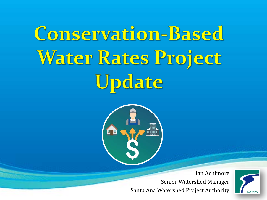# Conservation-Based Water Rates Project Update



Ian Achimore Senior Watershed Manager Santa Ana Watershed Project Authority

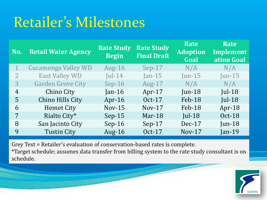# Retailer's Milestones

| No. | <b>Retail Water Agency</b> | <b>Rate Study</b><br><b>Begin</b> | <b>Rate Study</b><br><b>Final Draft</b> | Rate<br><b>Adoption</b><br>Goal | Rate<br>Implement<br>ation Goal |
|-----|----------------------------|-----------------------------------|-----------------------------------------|---------------------------------|---------------------------------|
|     | <b>Cucamonga Valley WD</b> | Aug- $16$                         | $Sep-17$                                | N/A                             | N/A                             |
| 2   | <b>East Valley WD</b>      | Jul-14                            | Jan- $15$                               | Jun- $15$                       | Jun- $15$                       |
| 3   | <b>Garden Grove City</b>   | $Sep-16$                          | Aug- $17$                               | N/A                             | N/A                             |
| 4   | Chino City                 | $Jan-16$                          | Apr- $17$                               | $Jun-18$                        | $ ul-18$                        |
| 5.  | Chino Hills City           | Apr-16                            | $Oct-17$                                | Feb-18                          | Jul-18                          |
| 6   | <b>Hemet City</b>          | $Nov-15$                          | $Nov-17$                                | Feb-18                          | Apr- $18$                       |
| 7   | Rialto City*               | $Sep-15$                          | Mar- $18$                               | $ ul-18$                        | 0ct-18                          |
| 8   | San Jacinto City           | $Sep-16$                          | $Sep-17$                                | $Dec-17$                        | Jun-18                          |
| 9   | <b>Tustin City</b>         | Aug- $16$                         | Oct-17                                  | $Nov-17$                        | Jan-19                          |

Grey Text = Retailer's evaluation of conservation-based rates is complete.

\*Target schedule; assumes data transfer from billing system to the rate study consultant is on schedule.

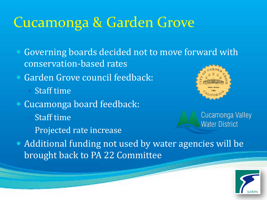### Cucamonga & Garden Grove

- Governing boards decided not to move forward with conservation-based rates
- Garden Grove council feedback:
	- Staff time
- Cucamonga board feedback: Staff time Projected rate increase



Cucamonga Valley **Water District** 

 Additional funding not used by water agencies will be brought back to PA 22 Committee

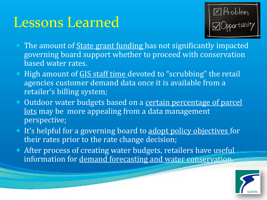### Lessons Learned



- The amount of **State grant funding** has not significantly impacted governing board support whether to proceed with conservation based water rates.
- High amount of GIS staff time devoted to "scrubbing" the retail agencies customer demand data once it is available from a retailer's billing system;
- Outdoor water budgets based on a certain percentage of parcel lots may be more appealing from a data management perspective;
- It's helpful for a governing board to adopt policy objectives for their rates prior to the rate change decision;
- **After process of creating water budgets, retailers have useful** information for demand forecasting and water conservation.

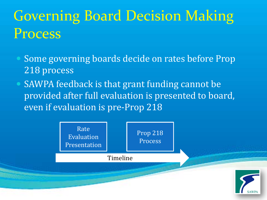# Governing Board Decision Making Process

- Some governing boards decide on rates before Prop 218 process
- SAWPA feedback is that grant funding cannot be provided after full evaluation is presented to board, even if evaluation is pre-Prop 218

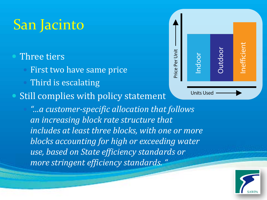# San Jacinto

#### Three tiers

- First two have same price
	- Third is escalating

#### Still complies with policy statement

 *"…a customer-specific allocation that follows an increasing block rate structure that includes at least three blocks, with one or more blocks accounting for high or exceeding water use, based on State efficiency standards or more stringent efficiency standards. "*



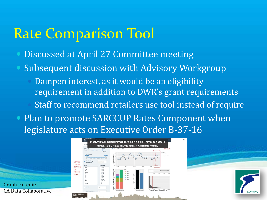### Rate Comparison Tool

- Discussed at April 27 Committee meeting
- Subsequent discussion with Advisory Workgroup
	- Dampen interest, as it would be an eligibility requirement in addition to DWR's grant requirements Staff to recommend retailers use tool instead of require
- Plan to promote SARCCUP Rates Component when legislature acts on Executive Order B-37-16

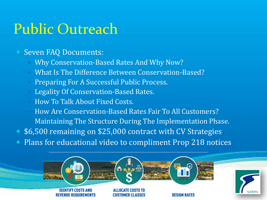### Public Outreach

#### Seven FAQ Documents:

- Why Conservation-Based Rates And Why Now?
- What Is The Difference Between Conservation-Based?
- Preparing For A Successful Public Process.
- Legality Of Conservation-Based Rates.
- How To Talk About Fixed Costs.
- How Are Conservation-Based Rates Fair To All Customers?
- Maintaining The Structure During The Implementation Phase.
- \$6,500 remaining on \$25,000 contract with CV Strategies
- Plans for educational video to compliment Prop 218 notices